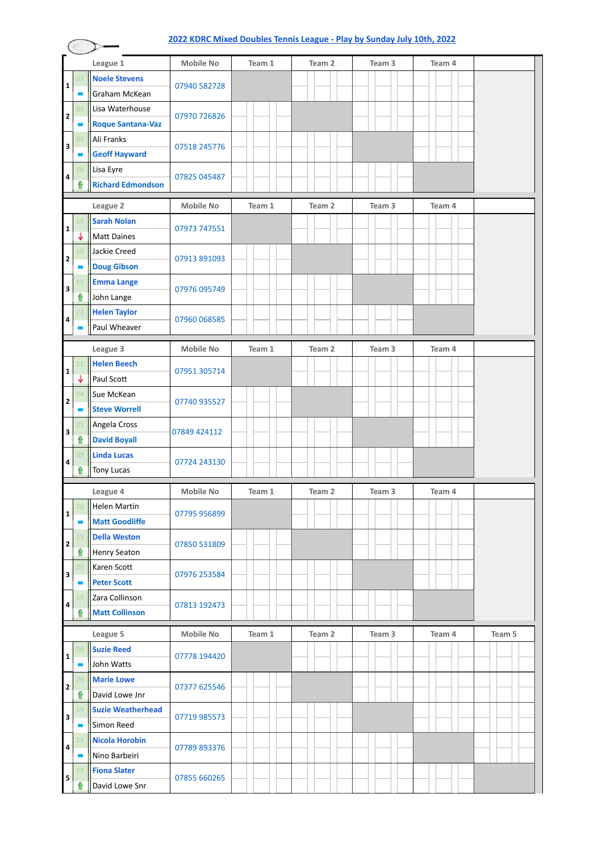#### **[2022 KDRC Mixed Doubles Tennis League - Play by Sunday July 10th, 2022](https://docs.google.com/forms/d/e/1FAIpQLSez6TVJdV7cYu_5vEZ8PGY1daNPRT6n8DlrAqbqDDXromM1mA/viewform?usp=sf_link) League 1 Mobile No Team 1 Team 2 Team 3 Team 4 07 Noele Stevens** 07940 582728 **1** Graham McKean **03** Lisa Waterhouse 07970 726826 **2 Roque Santana-Vaz** ÷ **02** Ali Franks **3** 07518 245776 **Geoff Hayward** -**16** Lisa Eyre 07825 045487 **4**  $\hat{u}$ **Richard Edmondson League 2 Mobile No Team 1 Team 2 Team 3 Team 4 17 Sarah Nolan** 07973 747551 **1**  $\overline{\mathsf{L}}$ Matt Daines **10** Jackie Creed 07913 891093 **2 Doug Gibson 15 Emma Lange** 07976 095749 **3**  $\hat{\mathbf{r}}$ John Lange **22 Helen Taylor** 07960 068585 **4** Paul Wheaver **League 3 Mobile No Team 1 Team 2 Team 3 Team 4 11 Helen Beech** 07951 305714 **1** Paul Scott J **04** Sue McKean **2** 07740 935527 **Steve Worrell** ÷ **21** Angela Cross 07849 424112 **3** ⇧ **David Boyall 09 Linda Lucas** 07724 243130 **4**  $\mathbf{\hat{r}}$ Tony Lucas **League 4 Mobile No Team 1 Team 2 Team 3 Team 4 26** Helen Martin 07795 956899 **1 Matt Goodliffe** ÷ **13 Della Weston** 07850 531809 **2**  $\mathbf{\hat{u}}$ Henry Seaton **25** Karen Scott 07976 253584 **3 Peter Scott 24** Zara Collinson 07813 192473 **4** ⇧ **Matt Collinson League 5 Mobile No Team 1 Team 2 Team 3 Team 4 Team 5 08 Suzie Reed** 07778 194420 **1** John Watts **29 Marie Lowe** 07377 625546 **2**  $\hat{\mathbf{r}}$ David Lowe Jnr **19 Suzie Weatherhead** 07719 985573 **3** Simon Reed **23 Nicola Horobin** 07789 893376 **4** Nino Barbeiri **27 Fiona Slater** 07855 660265 **5** ĥ David Lowe Snr